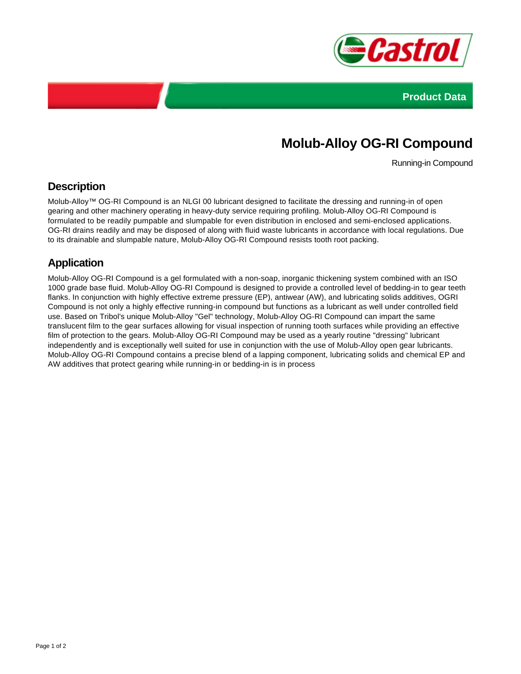



# **Molub-Alloy OG-RI Compound**

Running-in Compound

#### **Description**

Molub-Alloy™ OG-RI Compound is an NLGI 00 lubricant designed to facilitate the dressing and running-in of open gearing and other machinery operating in heavy-duty service requiring profiling. Molub-Alloy OG-RI Compound is formulated to be readily pumpable and slumpable for even distribution in enclosed and semi-enclosed applications. OG-RI drains readily and may be disposed of along with fluid waste lubricants in accordance with local regulations. Due to its drainable and slumpable nature, Molub-Alloy OG-RI Compound resists tooth root packing.

### **Application**

Molub-Alloy OG-RI Compound is a gel formulated with a non-soap, inorganic thickening system combined with an ISO 1000 grade base fluid. Molub-Alloy OG-RI Compound is designed to provide a controlled level of bedding-in to gear teeth flanks. In conjunction with highly effective extreme pressure (EP), antiwear (AW), and lubricating solids additives, OGRI Compound is not only a highly effective running-in compound but functions as a lubricant as well under controlled field use. Based on Tribol's unique Molub-Alloy "Gel" technology, Molub-Alloy OG-RI Compound can impart the same translucent film to the gear surfaces allowing for visual inspection of running tooth surfaces while providing an effective film of protection to the gears. Molub-Alloy OG-RI Compound may be used as a yearly routine "dressing" lubricant independently and is exceptionally well suited for use in conjunction with the use of Molub-Alloy open gear lubricants. Molub-Alloy OG-RI Compound contains a precise blend of a lapping component, lubricating solids and chemical EP and AW additives that protect gearing while running-in or bedding-in is in process